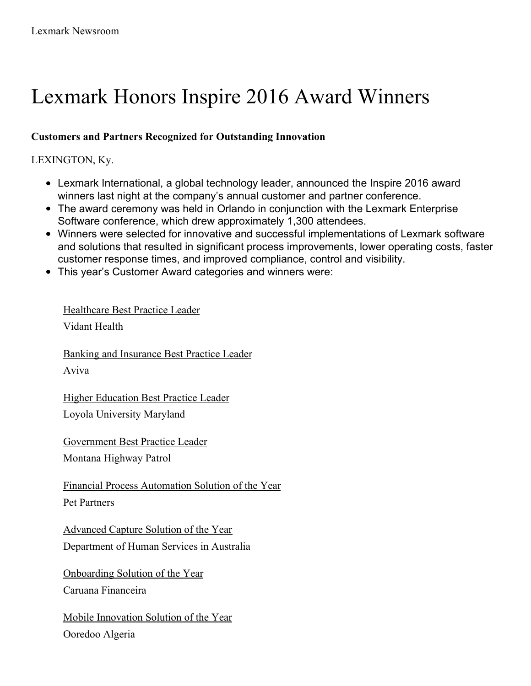# Lexmark Honors Inspire 2016 Award Winners

## **Customers and Partners Recognized for Outstanding Innovation**

## LEXINGTON, Ky.

- Lexmark International, a global technology leader, announced the Inspire 2016 award winners last night at the company's annual customer and partner conference.
- The award ceremony was held in Orlando in conjunction with the Lexmark Enterprise Software conference, which drew approximately 1,300 attendees.
- Winners were selected for innovative and successful implementations of Lexmark software and solutions that resulted in significant process improvements, lower operating costs, faster customer response times, and improved compliance, control and visibility.
- This year's Customer Award categories and winners were:

# Healthcare Best Practice Leader

Vidant Health

Banking and Insurance Best Practice Leader Aviva

Higher Education Best Practice Leader Loyola University Maryland

Government Best Practice Leader Montana Highway Patrol

Financial Process Automation Solution of the Year

Pet Partners

Advanced Capture Solution of the Year Department of Human Services in Australia

Onboarding Solution of the Year Caruana Financeira

Mobile Innovation Solution of the Year Ooredoo Algeria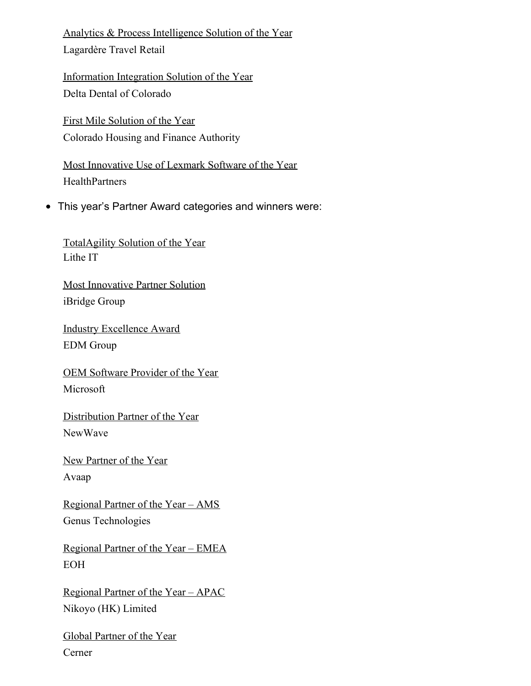Analytics & Process Intelligence Solution of the Year

Lagardère Travel Retail

Information Integration Solution of the Year Delta Dental of Colorado

First Mile Solution of the Year Colorado Housing and Finance Authority

Most Innovative Use of Lexmark Software of the Year **HealthPartners** 

This year's Partner Award categories and winners were:

TotalAgility Solution of the Year Lithe IT

Most Innovative Partner Solution iBridge Group

Industry Excellence Award EDM Group

OEM Software Provider of the Year Microsoft

Distribution Partner of the Year NewWave

New Partner of the Year

Avaap

Regional Partner of the Year – AMS Genus Technologies

Regional Partner of the Year – EMEA EOH

Regional Partner of the Year – APAC Nikoyo (HK) Limited

Global Partner of the Year Cerner